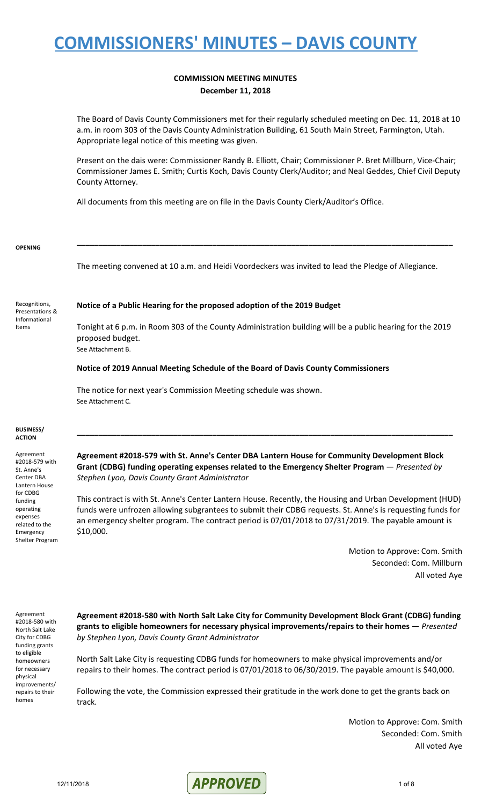### **COMMISSION MEETING MINUTES December 11, 2018**

The Board of Davis County Commissioners met for their regularly scheduled meeting on Dec. 11, 2018 at 10 a.m. in room 303 of the Davis County Administration Building, 61 South Main Street, Farmington, Utah. Appropriate legal notice of this meeting was given.

Present on the dais were: Commissioner Randy B. Elliott, Chair; Commissioner P. Bret Millburn, Vice-Chair; Commissioner James E. Smith; Curtis Koch, Davis County Clerk/Auditor; and Neal Geddes, Chief Civil Deputy County Attorney.

All documents from this meeting are on file in the Davis County Clerk/Auditor's Office.

#### **OPENING**

The meeting convened at 10 a.m. and Heidi Voordeckers was invited to lead the Pledge of Allegiance.

**\_\_\_\_\_\_\_\_\_\_\_\_\_\_\_\_\_\_\_\_\_\_\_\_\_\_\_\_\_\_\_\_\_\_\_\_\_\_\_\_\_\_\_\_\_\_\_\_\_\_\_\_\_\_\_\_\_\_\_\_\_\_\_\_\_\_\_\_\_\_\_\_\_\_\_\_\_\_\_\_\_\_\_\_\_\_**

Recognitions, Presentations & Informational Items

#### **Notice of a Public Hearing for the proposed adoption of the 2019 Budget**

Tonight at 6 p.m. in Room 303 of the County Administration building will be a public hearing for the 2019 proposed budget. See Attachment B.

#### **Notice of 2019 Annual Meeting Schedule of the Board of Davis County Commissioners**

The notice for next year's Commission Meeting schedule was shown. See Attachment C.

#### **BUSINESS/ ACTION**

Agreement #2018-579 with St. Anne's Center DBA Lantern House for CDBG funding operating expenses related to the Emergency Shelter Program

#### **Agreement #2018-579 with St. Anne's Center DBA Lantern House for Community Development Block Grant (CDBG) funding operating expenses related to the Emergency Shelter Program** — *Presented by Stephen Lyon, Davis County Grant Administrator*

**\_\_\_\_\_\_\_\_\_\_\_\_\_\_\_\_\_\_\_\_\_\_\_\_\_\_\_\_\_\_\_\_\_\_\_\_\_\_\_\_\_\_\_\_\_\_\_\_\_\_\_\_\_\_\_\_\_\_\_\_\_\_\_\_\_\_\_\_\_\_\_\_\_\_\_\_\_\_\_\_\_\_\_\_\_\_**

This contract is with St. Anne's Center Lantern House. Recently, the Housing and Urban Development (HUD) funds were unfrozen allowing subgrantees to submit their CDBG requests. St. Anne's is requesting funds for an emergency shelter program. The contract period is 07/01/2018 to 07/31/2019. The payable amount is \$10,000.

> Motion to Approve: Com. Smith Seconded: Com. Millburn All voted Aye

Agreement #2018-580 with North Salt Lake City for CDBG funding grants to eligible homeowners for necessary physical improvements/ repairs to their homes

**Agreement #2018-580 with North Salt Lake City for Community Development Block Grant (CDBG) funding grants to eligible homeowners for necessary physical improvements/repairs to their homes** — *Presented by Stephen Lyon, Davis County Grant Administrator*

North Salt Lake City is requesting CDBG funds for homeowners to make physical improvements and/or repairs to their homes. The contract period is 07/01/2018 to 06/30/2019. The payable amount is \$40,000.

Following the vote, the Commission expressed their gratitude in the work done to get the grants back on track.

> Motion to Approve: Com. Smith Seconded: Com. Smith All voted Aye

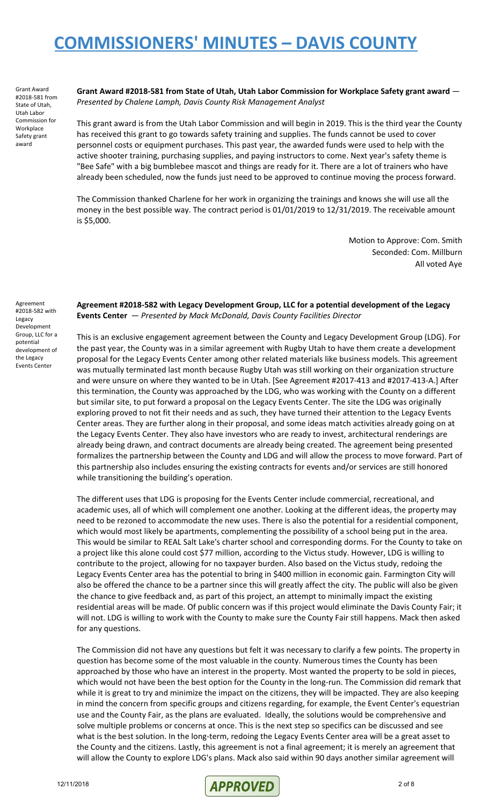Grant Award #2018-581 from State of Utah, Utah Labor Commission for Workplace Safety grant award

**Grant Award #2018-581 from State of Utah, Utah Labor Commission for Workplace Safety grant award** — *Presented by Chalene Lamph, Davis County Risk Management Analyst*

This grant award is from the Utah Labor Commission and will begin in 2019. This is the third year the County has received this grant to go towards safety training and supplies. The funds cannot be used to cover personnel costs or equipment purchases. This past year, the awarded funds were used to help with the active shooter training, purchasing supplies, and paying instructors to come. Next year's safety theme is "Bee Safe" with a big bumblebee mascot and things are ready for it. There are a lot of trainers who have already been scheduled, now the funds just need to be approved to continue moving the process forward.

The Commission thanked Charlene for her work in organizing the trainings and knows she will use all the money in the best possible way. The contract period is 01/01/2019 to 12/31/2019. The receivable amount is \$5,000.

> Motion to Approve: Com. Smith Seconded: Com. Millburn All voted Aye

**Agreement #2018-582 with Legacy Development Group, LLC for a potential development of the Legacy Events Center** — *Presented by Mack McDonald, Davis County Facilities Director*

This is an exclusive engagement agreement between the County and Legacy Development Group (LDG). For the past year, the County was in a similar agreement with Rugby Utah to have them create a development proposal for the Legacy Events Center among other related materials like business models. This agreement was mutually terminated last month because Rugby Utah was still working on their organization structure and were unsure on where they wanted to be in Utah. [See Agreement #2017-413 and #2017-413-A.] After this termination, the County was approached by the LDG, who was working with the County on a different but similar site, to put forward a proposal on the Legacy Events Center. The site the LDG was originally exploring proved to not fit their needs and as such, they have turned their attention to the Legacy Events Center areas. They are further along in their proposal, and some ideas match activities already going on at the Legacy Events Center. They also have investors who are ready to invest, architectural renderings are already being drawn, and contract documents are already being created. The agreement being presented formalizes the partnership between the County and LDG and will allow the process to move forward. Part of this partnership also includes ensuring the existing contracts for events and/or services are still honored while transitioning the building's operation.

The different uses that LDG is proposing for the Events Center include commercial, recreational, and academic uses, all of which will complement one another. Looking at the different ideas, the property may need to be rezoned to accommodate the new uses. There is also the potential for a residential component, which would most likely be apartments, complementing the possibility of a school being put in the area. This would be similar to REAL Salt Lake's charter school and corresponding dorms. For the County to take on a project like this alone could cost \$77 million, according to the Victus study. However, LDG is willing to contribute to the project, allowing for no taxpayer burden. Also based on the Victus study, redoing the Legacy Events Center area has the potential to bring in \$400 million in economic gain. Farmington City will also be offered the chance to be a partner since this will greatly affect the city. The public will also be given the chance to give feedback and, as part of this project, an attempt to minimally impact the existing residential areas will be made. Of public concern was if this project would eliminate the Davis County Fair; it will not. LDG is willing to work with the County to make sure the County Fair still happens. Mack then asked for any questions.

The Commission did not have any questions but felt it was necessary to clarify a few points. The property in question has become some of the most valuable in the county. Numerous times the County has been approached by those who have an interest in the property. Most wanted the property to be sold in pieces, which would not have been the best option for the County in the long-run. The Commission did remark that while it is great to try and minimize the impact on the citizens, they will be impacted. They are also keeping in mind the concern from specific groups and citizens regarding, for example, the Event Center's equestrian use and the County Fair, as the plans are evaluated. Ideally, the solutions would be comprehensive and solve multiple problems or concerns at once. This is the next step so specifics can be discussed and see what is the best solution. In the long-term, redoing the Legacy Events Center area will be a great asset to the County and the citizens. Lastly, this agreement is not a final agreement; it is merely an agreement that will allow the County to explore LDG's plans. Mack also said within 90 days another similar agreement will

Agreement #2018-582 with Legacy Development Group, LLC for a potential development of the Legacy Events Center

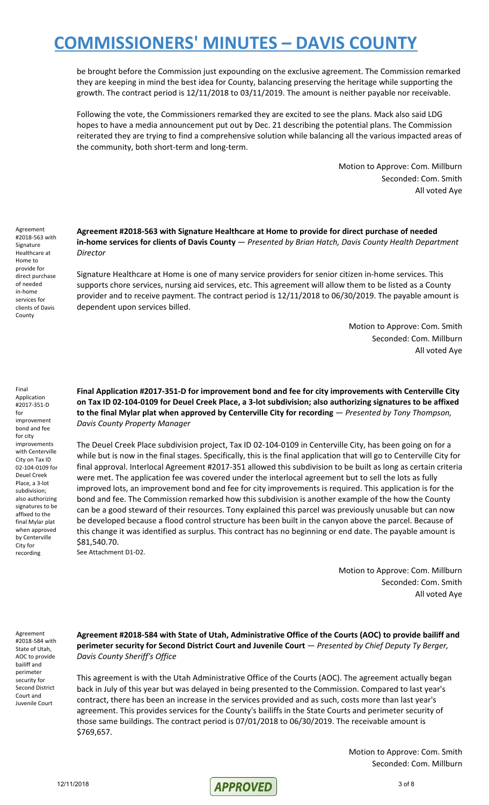be brought before the Commission just expounding on the exclusive agreement. The Commission remarked they are keeping in mind the best idea for County, balancing preserving the heritage while supporting the growth. The contract period is 12/11/2018 to 03/11/2019. The amount is neither payable nor receivable.

Following the vote, the Commissioners remarked they are excited to see the plans. Mack also said LDG hopes to have a media announcement put out by Dec. 21 describing the potential plans. The Commission reiterated they are trying to find a comprehensive solution while balancing all the various impacted areas of the community, both short-term and long-term.

> Motion to Approve: Com. Millburn Seconded: Com. Smith All voted Aye

Agreement #2018-563 with Signature Healthcare at Home to provide for direct purchase of needed in-home services for clients of Davis County

**Agreement #2018-563 with Signature Healthcare at Home to provide for direct purchase of needed in-home services for clients of Davis County** — *Presented by Brian Hatch, Davis County Health Department Director*

Signature Healthcare at Home is one of many service providers for senior citizen in-home services. This supports chore services, nursing aid services, etc. This agreement will allow them to be listed as a County provider and to receive payment. The contract period is 12/11/2018 to 06/30/2019. The payable amount is dependent upon services billed.

> Motion to Approve: Com. Smith Seconded: Com. Millburn All voted Aye

Final Application #2017-351-D for improvement bond and fee for city improvements with Centerville City on Tax ID 02-104-0109 for Deuel Creek Place, a 3-lot subdivision; also authorizing signatures to be affixed to the final Mylar plat when approved by Centerville City for recording

**Final Application #2017-351-D for improvement bond and fee for city improvements with Centerville City** on Tax ID 02-104-0109 for Deuel Creek Place, a 3-lot subdivision; also authorizing signatures to be affixed **to the final Mylar plat when approved by Centerville City for recording** — *Presented by Tony Thompson, Davis County Property Manager*

The Deuel Creek Place subdivision project, Tax ID 02-104-0109 in Centerville City, has been going on for a while but is now in the final stages. Specifically, this is the final application that will go to Centerville City for final approval. Interlocal Agreement #2017-351 allowed this subdivision to be built as long as certain criteria were met. The application fee was covered under the interlocal agreement but to sell the lots as fully improved lots, an improvement bond and fee for city improvements is required. This application is for the bond and fee. The Commission remarked how this subdivision is another example of the how the County can be a good steward of their resources. Tony explained this parcel was previously unusable but can now be developed because a flood control structure has been built in the canyon above the parcel. Because of this change it was identified as surplus. This contract has no beginning or end date. The payable amount is \$81,540.70. See Attachment D1-D2.

> Motion to Approve: Com. Millburn Seconded: Com. Smith All voted Aye

Agreement #2018-584 with State of Utah, AOC to provide bailiff and perimeter security for Second District Court and Juvenile Court

**Agreement #2018-584 with State of Utah, Administrative Office of the Courts (AOC) to provide bailiff and perimeter security for Second District Court and Juvenile Court** — *Presented by Chief Deputy Ty Berger, Davis County Sheriff's Office*

This agreement is with the Utah Administrative Office of the Courts (AOC). The agreement actually began back in July of this year but was delayed in being presented to the Commission. Compared to last year's contract, there has been an increase in the services provided and as such, costs more than last year's agreement. This provides services for the County's bailiffs in the State Courts and perimeter security of those same buildings. The contract period is 07/01/2018 to 06/30/2019. The receivable amount is \$769,657.

> Motion to Approve: Com. Smith Seconded: Com. Millburn

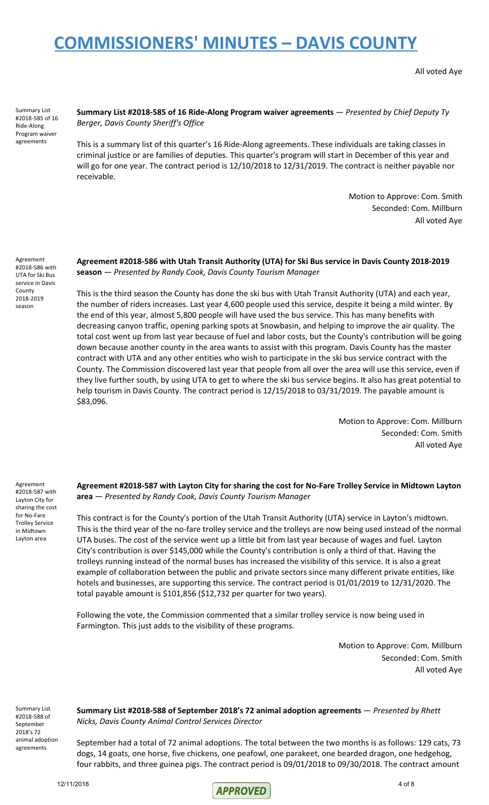All voted Aye

Summary List #2018-585 of 16 Ride-Along Program waiver agreements

### **Summary List #2018-585 of 16 Ride-Along Program waiver agreements** — *Presented by Chief Deputy Ty Berger, Davis County Sheriff's Office*

This is a summary list of this quarter's 16 Ride-Along agreements. These individuals are taking classes in criminal justice or are families of deputies. This quarter's program will start in December of this year and will go for one year. The contract period is 12/10/2018 to 12/31/2019. The contract is neither payable nor receivable.

> Motion to Approve: Com. Smith Seconded: Com. Millburn All voted Aye

Agreement #2018-586 with UTA for Ski Bus service in Davis County 2018-2019 season

### **Agreement #2018-586 with Utah Transit Authority (UTA) for Ski Bus service in Davis County 2018-2019 season** — *Presented by Randy Cook, Davis County Tourism Manager*

This is the third season the County has done the ski bus with Utah Transit Authority (UTA) and each year, the number of riders increases. Last year 4,600 people used this service, despite it being a mild winter. By the end of this year, almost 5,800 people will have used the bus service. This has many benefits with decreasing canyon traffic, opening parking spots at Snowbasin, and helping to improve the air quality. The total cost went up from last year because of fuel and labor costs, but the County's contribution will be going down because another county in the area wants to assist with this program. Davis County has the master contract with UTA and any other entities who wish to participate in the ski bus service contract with the County. The Commission discovered last year that people from all over the area will use this service, even if they live further south, by using UTA to get to where the ski bus service begins. It also has great potential to help tourism in Davis County. The contract period is 12/15/2018 to 03/31/2019. The payable amount is \$83,096.

> Motion to Approve: Com. Millburn Seconded: Com. Smith All voted Aye

Agreement #2018-587 with Layton City for sharing the cost for No-Fare Trolley Service in Midtown Layton area

**Agreement #2018-587 with Layton City for sharing the cost for No-Fare Trolley Service in Midtown Layton area** — *Presented by Randy Cook, Davis County Tourism Manager*

This contract is for the County's portion of the Utah Transit Authority (UTA) service in Layton's midtown. This is the third year of the no-fare trolley service and the trolleys are now being used instead of the normal UTA buses. The cost of the service went up a little bit from last year because of wages and fuel. Layton City's contribution is over \$145,000 while the County's contribution is only a third of that. Having the trolleys running instead of the normal buses has increased the visibility of this service. It is also a great example of collaboration between the public and private sectors since many different private entities, like hotels and businesses, are supporting this service. The contract period is 01/01/2019 to 12/31/2020. The total payable amount is \$101,856 (\$12,732 per quarter for two years).

Following the vote, the Commission commented that a similar trolley service is now being used in Farmington. This just adds to the visibility of these programs.

> Motion to Approve: Com. Millburn Seconded: Com. Smith All voted Aye

Summary List #2018-588 of September 2018's 72 animal adoption agreements

**Summary List #2018-588 of September 2018's 72 animal adoption agreements** — *Presented by Rhett Nicks, Davis County Animal Control Services Director*

September had a total of 72 animal adoptions. The total between the two months is as follows: 129 cats, 73 dogs, 14 goats, one horse, five chickens, one peafowl, one parakeet, one bearded dragon, one hedgehog, four rabbits, and three guinea pigs. The contract period is 09/01/2018 to 09/30/2018. The contract amount

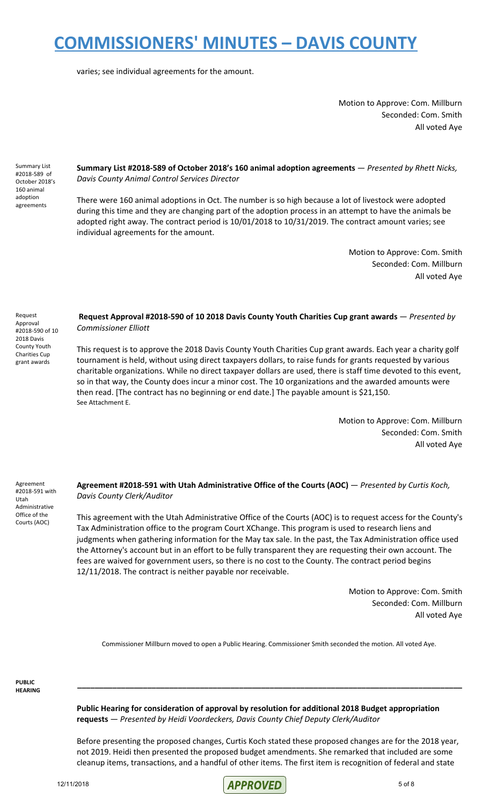varies; see individual agreements for the amount.

Motion to Approve: Com. Millburn Seconded: Com. Smith All voted Aye

Summary List #2018-589 of October 2018's 160 animal adoption agreements

**Summary List #2018-589 of October 2018's 160 animal adoption agreements** — *Presented by Rhett Nicks, Davis County Animal Control Services Director*

There were 160 animal adoptions in Oct. The number is so high because a lot of livestock were adopted during this time and they are changing part of the adoption process in an attempt to have the animals be adopted right away. The contract period is 10/01/2018 to 10/31/2019. The contract amount varies; see individual agreements for the amount.

> Motion to Approve: Com. Smith Seconded: Com. Millburn All voted Aye

Request Approval #2018-590 of 10 2018 Davis County Youth Charities Cup grant awards

#### **Request Approval #2018-590 of 10 2018 Davis County Youth Charities Cup grant awards** — *Presented by Commissioner Elliott*

This request is to approve the 2018 Davis County Youth Charities Cup grant awards. Each year a charity golf tournament is held, without using direct taxpayers dollars, to raise funds for grants requested by various charitable organizations. While no direct taxpayer dollars are used, there is staff time devoted to this event, so in that way, the County does incur a minor cost. The 10 organizations and the awarded amounts were then read. [The contract has no beginning or end date.] The payable amount is \$21,150. See Attachment E.

> Motion to Approve: Com. Millburn Seconded: Com. Smith All voted Aye

Agreement #2018-591 with Utah Administrative Office of the Courts (AOC)

#### **Agreement #2018-591 with Utah Administrative Office of the Courts (AOC)** — *Presented by Curtis Koch, Davis County Clerk/Auditor*

This agreement with the Utah Administrative Office of the Courts (AOC) is to request access for the County's Tax Administration office to the program Court XChange. This program is used to research liens and judgments when gathering information for the May tax sale. In the past, the Tax Administration office used the Attorney's account but in an effort to be fully transparent they are requesting their own account. The fees are waived for government users, so there is no cost to the County. The contract period begins 12/11/2018. The contract is neither payable nor receivable.

> Motion to Approve: Com. Smith Seconded: Com. Millburn All voted Aye

Commissioner Millburn moved to open a Public Hearing. Commissioner Smith seconded the motion. All voted Aye.

**\_\_\_\_\_\_\_\_\_\_\_\_\_\_\_\_\_\_\_\_\_\_\_\_\_\_\_\_\_\_\_\_\_\_\_\_\_\_\_\_\_\_\_\_\_\_\_\_\_\_\_\_\_\_\_\_\_\_\_\_\_\_\_\_\_\_\_\_\_\_\_\_\_\_\_\_\_\_\_\_\_\_\_\_\_\_\_\_**

**PUBLIC HEARING**

> **Public Hearing for consideration of approval by resolution for additional 2018 Budget appropriation requests** — *Presented by Heidi Voordeckers, Davis County Chief Deputy Clerk/Auditor*

Before presenting the proposed changes, Curtis Koch stated these proposed changes are for the 2018 year, not 2019. Heidi then presented the proposed budget amendments. She remarked that included are some cleanup items, transactions, and a handful of other items. The first item is recognition of federal and state

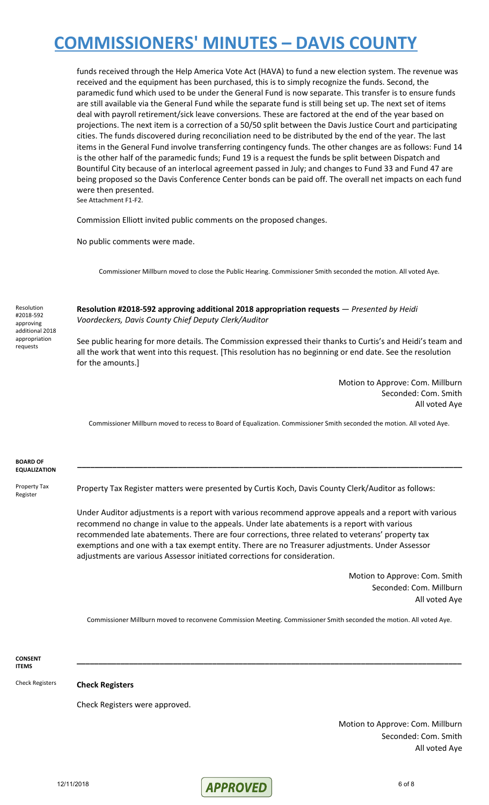funds received through the Help America Vote Act (HAVA) to fund a new election system. The revenue was received and the equipment has been purchased, this is to simply recognize the funds. Second, the paramedic fund which used to be under the General Fund is now separate. This transfer is to ensure funds are still available via the General Fund while the separate fund is still being set up. The next set of items deal with payroll retirement/sick leave conversions. These are factored at the end of the year based on projections. The next item is a correction of a 50/50 split between the Davis Justice Court and participating cities. The funds discovered during reconciliation need to be distributed by the end of the year. The last items in the General Fund involve transferring contingency funds. The other changes are as follows: Fund 14 is the other half of the paramedic funds; Fund 19 is a request the funds be split between Dispatch and Bountiful City because of an interlocal agreement passed in July; and changes to Fund 33 and Fund 47 are being proposed so the Davis Conference Center bonds can be paid off. The overall net impacts on each fund were then presented.

See Attachment F1-F2.

Commission Elliott invited public comments on the proposed changes.

No public comments were made.

Commissioner Millburn moved to close the Public Hearing. Commissioner Smith seconded the motion. All voted Aye.

Resolution #2018-592 approving additional 2018 appropriation requests

**Resolution #2018-592 approving additional 2018 appropriation requests** — *Presented by Heidi Voordeckers, Davis County Chief Deputy Clerk/Auditor*

See public hearing for more details. The Commission expressed their thanks to Curtis's and Heidi's team and all the work that went into this request. [This resolution has no beginning or end date. See the resolution for the amounts.]

> Motion to Approve: Com. Millburn Seconded: Com. Smith All voted Aye

Commissioner Millburn moved to recess to Board of Equalization. Commissioner Smith seconded the motion. All voted Aye.

#### **BOARD OF EQUALIZATION \_\_\_\_\_\_\_\_\_\_\_\_\_\_\_\_\_\_\_\_\_\_\_\_\_\_\_\_\_\_\_\_\_\_\_\_\_\_\_\_\_\_\_\_\_\_\_\_\_\_\_\_\_\_\_\_\_\_\_\_\_\_\_\_\_\_\_\_\_\_\_\_\_\_\_\_\_\_\_\_\_\_\_\_\_\_\_\_** Property Tax Register Property Tax Register matters were presented by Curtis Koch, Davis County Clerk/Auditor as follows:

Under Auditor adjustments is a report with various recommend approve appeals and a report with various recommend no change in value to the appeals. Under late abatements is a report with various recommended late abatements. There are four corrections, three related to veterans' property tax exemptions and one with a tax exempt entity. There are no Treasurer adjustments. Under Assessor adjustments are various Assessor initiated corrections for consideration.

> Motion to Approve: Com. Smith Seconded: Com. Millburn All voted Aye

Commissioner Millburn moved to reconvene Commission Meeting. Commissioner Smith seconded the motion. All voted Aye.

**\_\_\_\_\_\_\_\_\_\_\_\_\_\_\_\_\_\_\_\_\_\_\_\_\_\_\_\_\_\_\_\_\_\_\_\_\_\_\_\_\_\_\_\_\_\_\_\_\_\_\_\_\_\_\_\_\_\_\_\_\_\_\_\_\_\_\_\_\_\_\_\_\_\_\_\_\_\_\_\_\_\_\_\_\_\_\_\_**

**CONSENT ITEMS**

Check Registers **Check Registers**

Check Registers were approved.

Motion to Approve: Com. Millburn Seconded: Com. Smith All voted Aye

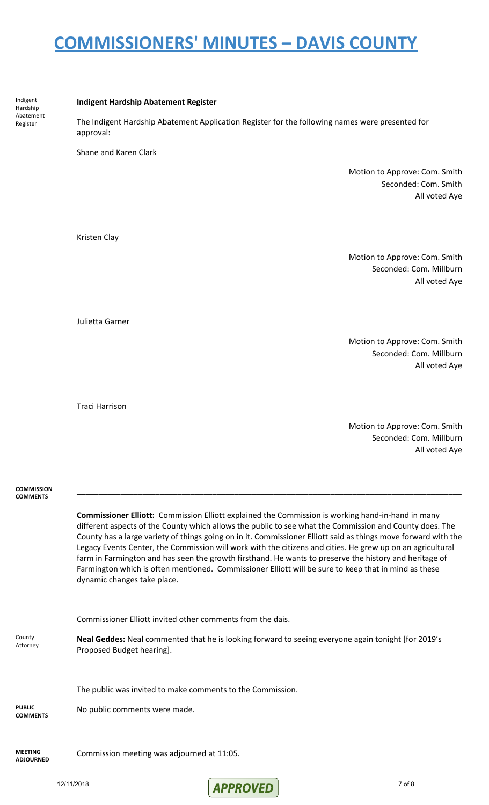The Indigent Hardship Abatement Application Register for the following names were presented for

**Indigent Hardship Abatement Register**

|                                    | approval:                                                                                                                                                                                                                                                                                                                                                                                                                                                                                                                                                                                                                                                                                     |                                                                           |  |
|------------------------------------|-----------------------------------------------------------------------------------------------------------------------------------------------------------------------------------------------------------------------------------------------------------------------------------------------------------------------------------------------------------------------------------------------------------------------------------------------------------------------------------------------------------------------------------------------------------------------------------------------------------------------------------------------------------------------------------------------|---------------------------------------------------------------------------|--|
|                                    | Shane and Karen Clark                                                                                                                                                                                                                                                                                                                                                                                                                                                                                                                                                                                                                                                                         |                                                                           |  |
|                                    |                                                                                                                                                                                                                                                                                                                                                                                                                                                                                                                                                                                                                                                                                               | Motion to Approve: Com. Smith<br>Seconded: Com. Smith<br>All voted Aye    |  |
|                                    | Kristen Clay                                                                                                                                                                                                                                                                                                                                                                                                                                                                                                                                                                                                                                                                                  |                                                                           |  |
|                                    |                                                                                                                                                                                                                                                                                                                                                                                                                                                                                                                                                                                                                                                                                               | Motion to Approve: Com. Smith<br>Seconded: Com. Millburn<br>All voted Aye |  |
|                                    | Julietta Garner                                                                                                                                                                                                                                                                                                                                                                                                                                                                                                                                                                                                                                                                               |                                                                           |  |
|                                    |                                                                                                                                                                                                                                                                                                                                                                                                                                                                                                                                                                                                                                                                                               | Motion to Approve: Com. Smith<br>Seconded: Com. Millburn<br>All voted Aye |  |
|                                    | <b>Traci Harrison</b>                                                                                                                                                                                                                                                                                                                                                                                                                                                                                                                                                                                                                                                                         |                                                                           |  |
|                                    |                                                                                                                                                                                                                                                                                                                                                                                                                                                                                                                                                                                                                                                                                               | Motion to Approve: Com. Smith<br>Seconded: Com. Millburn<br>All voted Aye |  |
| <b>COMMISSION</b>                  |                                                                                                                                                                                                                                                                                                                                                                                                                                                                                                                                                                                                                                                                                               |                                                                           |  |
| <b>COMMENTS</b>                    | Commissioner Elliott: Commission Elliott explained the Commission is working hand-in-hand in many<br>different aspects of the County which allows the public to see what the Commission and County does. The<br>County has a large variety of things going on in it. Commissioner Elliott said as things move forward with the<br>Legacy Events Center, the Commission will work with the citizens and cities. He grew up on an agricultural<br>farm in Farmington and has seen the growth firsthand. He wants to preserve the history and heritage of<br>Farmington which is often mentioned. Commissioner Elliott will be sure to keep that in mind as these<br>dynamic changes take place. |                                                                           |  |
|                                    | Commissioner Elliott invited other comments from the dais.                                                                                                                                                                                                                                                                                                                                                                                                                                                                                                                                                                                                                                    |                                                                           |  |
| County<br>Attorney                 | Neal Geddes: Neal commented that he is looking forward to seeing everyone again tonight [for 2019's<br>Proposed Budget hearing].                                                                                                                                                                                                                                                                                                                                                                                                                                                                                                                                                              |                                                                           |  |
|                                    | The public was invited to make comments to the Commission.                                                                                                                                                                                                                                                                                                                                                                                                                                                                                                                                                                                                                                    |                                                                           |  |
| <b>PUBLIC</b><br><b>COMMENTS</b>   | No public comments were made.                                                                                                                                                                                                                                                                                                                                                                                                                                                                                                                                                                                                                                                                 |                                                                           |  |
| <b>MEETING</b><br><b>ADJOURNED</b> | Commission meeting was adjourned at 11:05.                                                                                                                                                                                                                                                                                                                                                                                                                                                                                                                                                                                                                                                    |                                                                           |  |

Indigent Hardship Abatement Register